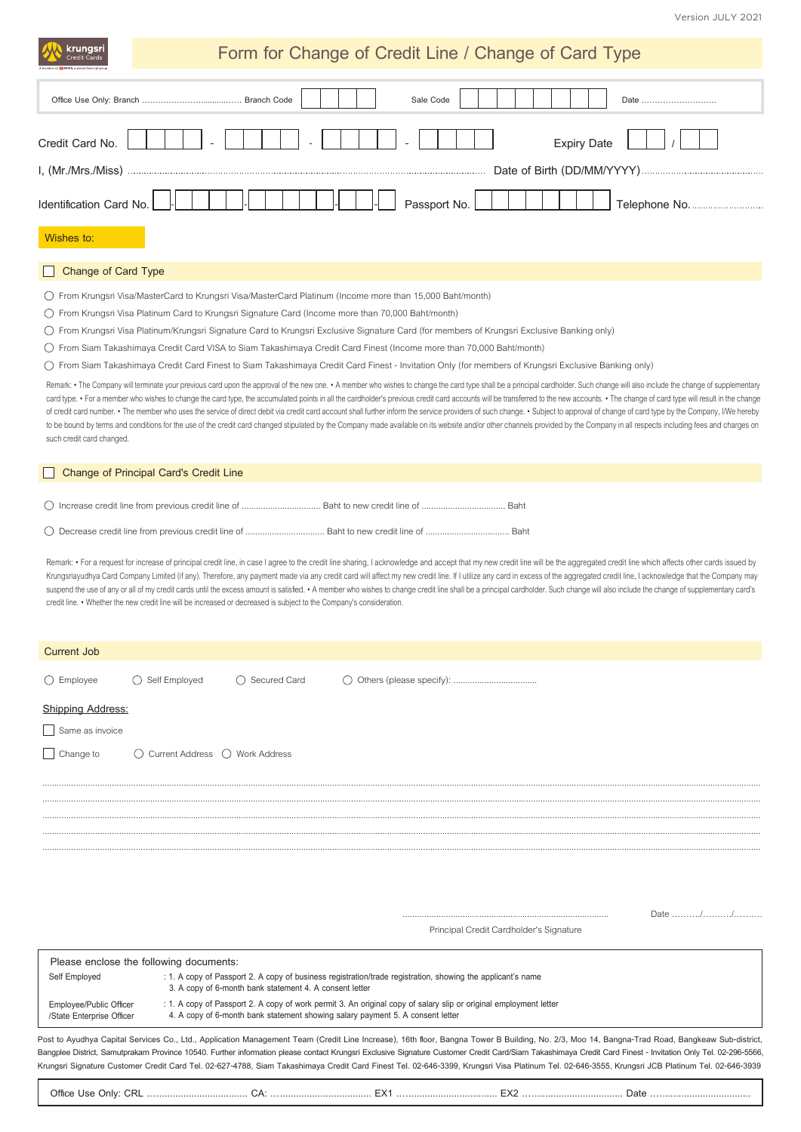krungsri

## **Form for Change of Credit Line / Change of Card Type**

| Sale Code<br>Date                                                                                                                                                                                                              |  |  |  |  |  |
|--------------------------------------------------------------------------------------------------------------------------------------------------------------------------------------------------------------------------------|--|--|--|--|--|
| Credit Card No.<br><b>Expiry Date</b>                                                                                                                                                                                          |  |  |  |  |  |
|                                                                                                                                                                                                                                |  |  |  |  |  |
| <b>Identification Card No.</b><br>Passport No.                                                                                                                                                                                 |  |  |  |  |  |
| Wishes to:                                                                                                                                                                                                                     |  |  |  |  |  |
| Change of Card Type                                                                                                                                                                                                            |  |  |  |  |  |
| From Krungsri Visa/MasterCard to Krungsri Visa/MasterCard Platinum (Income more than 15,000 Baht/month)                                                                                                                        |  |  |  |  |  |
| From Krungsri Visa Platinum Card to Krungsri Signature Card (Income more than 70,000 Baht/month)                                                                                                                               |  |  |  |  |  |
| From Krungsri Visa Platinum/Krungsri Signature Card to Krungsri Exclusive Signature Card (for members of Krungsri Exclusive Banking only)                                                                                      |  |  |  |  |  |
| From Siam Takashimaya Credit Card VISA to Siam Takashimaya Credit Card Finest (Income more than 70,000 Baht/month)                                                                                                             |  |  |  |  |  |
| From Siam Takashimaya Credit Card Finest to Siam Takashimaya Credit Card Finest - Invitation Only (for members of Krungsri Exclusive Banking only)                                                                             |  |  |  |  |  |
| Remark: • The Company will terminate your previous card upon the approval of the new one. • A member who wishes to change the card type shall be a principal cardholder. Such change will also include the change of supplemen |  |  |  |  |  |

card type. . For a member who wishes to change the card type, the accumulated points in all the cardholder's previous credit card accounts will be transferred to the new accounts. . The change of card type will result in t of credit card number. . The member who uses the service of direct debit via credit card account shall further inform the service providers of such change. . Subject to approval of change of card type by the Company, I/We to be bound by terms and conditions for the use of the credit card changed stipulated by the Company made available on its website and/or other channels provided by the Company in all respects including fees and charges on such credit card changed.

## **Change of Principal Card's Credit Line**

|--|--|

Remark: . For a request for increase of principal credit line, in case I agree to the credit line sharing, I acknowledge and accept that my new credit line will be the aggregated credit line which affects other cards issue Krungsriayudhya Card Company Limited (if any). Therefore, any payment made via any credit card will affect my new credit line. If I utilize any card in excess of the aggregated credit line, I acknowledge that the Company m suspend the use of any or all of my credit cards until the excess amount is satisfied. . A member who wishes to change credit line shall be a principal cardholder. Such change will also include the change of supplementary credit line. • Whether the new credit line will be increased or decreased is subject to the Company's consideration.

| <b>Current Job</b>                                   |                                                                                                                                                                                                     |                         |                                                                                                                                                                                                                                                                                                                                                                                                                                                                                                                                                                                                                   |  |  |  |
|------------------------------------------------------|-----------------------------------------------------------------------------------------------------------------------------------------------------------------------------------------------------|-------------------------|-------------------------------------------------------------------------------------------------------------------------------------------------------------------------------------------------------------------------------------------------------------------------------------------------------------------------------------------------------------------------------------------------------------------------------------------------------------------------------------------------------------------------------------------------------------------------------------------------------------------|--|--|--|
| $\bigcirc$ Employee                                  | $\bigcirc$ Self Employed                                                                                                                                                                            | $\bigcirc$ Secured Card | $\bigcirc$                                                                                                                                                                                                                                                                                                                                                                                                                                                                                                                                                                                                        |  |  |  |
| <b>Shipping Address:</b>                             |                                                                                                                                                                                                     |                         |                                                                                                                                                                                                                                                                                                                                                                                                                                                                                                                                                                                                                   |  |  |  |
| Same as invoice                                      |                                                                                                                                                                                                     |                         |                                                                                                                                                                                                                                                                                                                                                                                                                                                                                                                                                                                                                   |  |  |  |
| Change to                                            | $\bigcirc$ Current Address $\bigcirc$ Work Address                                                                                                                                                  |                         |                                                                                                                                                                                                                                                                                                                                                                                                                                                                                                                                                                                                                   |  |  |  |
|                                                      |                                                                                                                                                                                                     |                         |                                                                                                                                                                                                                                                                                                                                                                                                                                                                                                                                                                                                                   |  |  |  |
|                                                      |                                                                                                                                                                                                     |                         |                                                                                                                                                                                                                                                                                                                                                                                                                                                                                                                                                                                                                   |  |  |  |
|                                                      |                                                                                                                                                                                                     |                         |                                                                                                                                                                                                                                                                                                                                                                                                                                                                                                                                                                                                                   |  |  |  |
|                                                      |                                                                                                                                                                                                     |                         |                                                                                                                                                                                                                                                                                                                                                                                                                                                                                                                                                                                                                   |  |  |  |
|                                                      |                                                                                                                                                                                                     |                         |                                                                                                                                                                                                                                                                                                                                                                                                                                                                                                                                                                                                                   |  |  |  |
|                                                      |                                                                                                                                                                                                     |                         |                                                                                                                                                                                                                                                                                                                                                                                                                                                                                                                                                                                                                   |  |  |  |
|                                                      |                                                                                                                                                                                                     |                         | Date //                                                                                                                                                                                                                                                                                                                                                                                                                                                                                                                                                                                                           |  |  |  |
| Principal Credit Cardholder's Signature              |                                                                                                                                                                                                     |                         |                                                                                                                                                                                                                                                                                                                                                                                                                                                                                                                                                                                                                   |  |  |  |
|                                                      | Please enclose the following documents:                                                                                                                                                             |                         |                                                                                                                                                                                                                                                                                                                                                                                                                                                                                                                                                                                                                   |  |  |  |
| Self Employed                                        | : 1. A copy of Passport 2. A copy of business registration/trade registration, showing the applicant's name<br>3. A copy of 6-month bank statement 4. A consent letter                              |                         |                                                                                                                                                                                                                                                                                                                                                                                                                                                                                                                                                                                                                   |  |  |  |
| Employee/Public Officer<br>/State Enterprise Officer | : 1. A copy of Passport 2. A copy of work permit 3. An original copy of salary slip or original employment letter<br>4. A copy of 6-month bank statement showing salary payment 5. A consent letter |                         |                                                                                                                                                                                                                                                                                                                                                                                                                                                                                                                                                                                                                   |  |  |  |
|                                                      |                                                                                                                                                                                                     |                         | Post to Ayudhya Capital Services Co., Ltd., Application Management Team (Credit Line Increase), 16th floor, Bangna Tower B Building, No. 2/3, Moo 14, Bangna-Trad Road, Bangkeaw Sub-district,<br>Bangplee District, Samutprakarn Province 10540. Further information please contact Krungsri Exclusive Signature Customer Credit Card/Siam Takashimaya Credit Card Finest - Invitation Only Tel. 02-296-5566,<br>Krungsri Signature Customer Credit Card Tel. 02-627-4788, Siam Takashimaya Credit Card Finest Tel. 02-646-3399, Krungsri Visa Platinum Tel. 02-646-3555, Krungsri JCB Platinum Tel. 02-646-3939 |  |  |  |

**Office Use Only: CRL .…................................. CA: .…................................. EX1 .…................................. EX2 .…................................. Date .….................................**